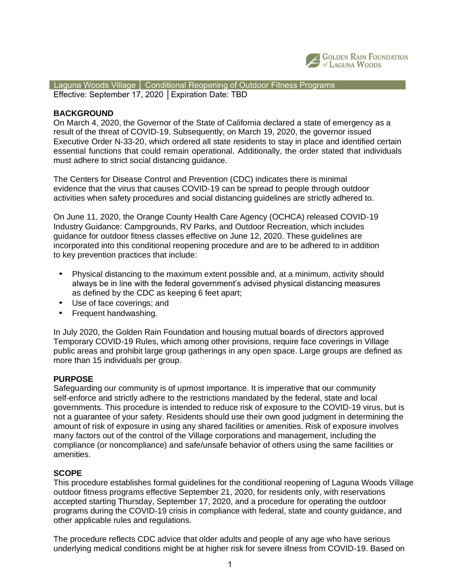

 Laguna Woods Village │ Conditional Reopening of Outdoor Fitness Programs Effective: September 17, 2020 │Expiration Date: TBD

## **BACKGROUND**

On March 4, 2020, the Governor of the State of California declared a state of emergency as a result of the threat of COVID‐19. Subsequently, on March 19, 2020, the governor issued Executive Order N‐33‐20, which ordered all state residents to stay in place and identified certain essential functions that could remain operational. Additionally, the order stated that individuals must adhere to strict social distancing guidance.

The Centers for Disease Control and Prevention (CDC) indicates there is minimal evidence that the virus that causes COVID‐19 can be spread to people through outdoor activities when safety procedures and social distancing guidelines are strictly adhered to.

On June 11, 2020, the Orange County Health Care Agency (OCHCA) released COVID‐19 Industry Guidance: Campgrounds, RV Parks, and Outdoor Recreation, which includes guidance for outdoor fitness classes effective on June 12, 2020. These guidelines are incorporated into this conditional reopening procedure and are to be adhered to in addition to key prevention practices that include:

- Physical distancing to the maximum extent possible and, at a minimum, activity should always be in line with the federal government's advised physical distancing measures as defined by the CDC as keeping 6 feet apart;
- Use of face coverings; and
- Frequent handwashing.

In July 2020, the Golden Rain Foundation and housing mutual boards of directors approved Temporary COVID-19 Rules, which among other provisions, require face coverings in Village public areas and prohibit large group gatherings in any open space. Large groups are defined as more than 15 individuals per group.

### **PURPOSE**

Safeguarding our community is of upmost importance. It is imperative that our community self-enforce and strictly adhere to the restrictions mandated by the federal, state and local governments. This procedure is intended to reduce risk of exposure to the COVID-19 virus, but is not a guarantee of your safety. Residents should use their own good judgment in determining the amount of risk of exposure in using any shared facilities or amenities. Risk of exposure involves many factors out of the control of the Village corporations and management, including the compliance (or noncompliance) and safe/unsafe behavior of others using the same facilities or amenities.

### **SCOPE**

This procedure establishes formal guidelines for the conditional reopening of Laguna Woods Village outdoor fitness programs effective September 21, 2020, for residents only, with reservations accepted starting Thursday, September 17, 2020, and a procedure for operating the outdoor programs during the COVID‐19 crisis in compliance with federal, state and county guidance, and other applicable rules and regulations.

The procedure reflects CDC advice that older adults and people of any age who have serious underlying medical conditions might be at higher risk for severe illness from COVID‐19. Based on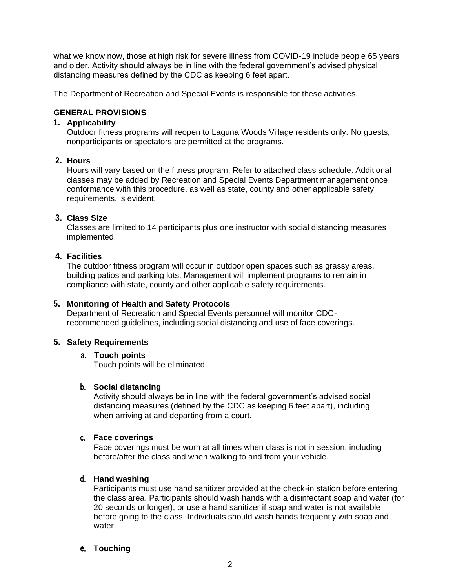what we know now, those at high risk for severe illness from COVID-19 include people 65 years and older. Activity should always be in line with the federal government's advised physical distancing measures defined by the CDC as keeping 6 feet apart.

The Department of Recreation and Special Events is responsible for these activities.

# **GENERAL PROVISIONS**

## **1. Applicability**

Outdoor fitness programs will reopen to Laguna Woods Village residents only. No guests, nonparticipants or spectators are permitted at the programs.

## **2. Hours**

Hours will vary based on the fitness program. Refer to attached class schedule. Additional classes may be added by Recreation and Special Events Department management once conformance with this procedure, as well as state, county and other applicable safety requirements, is evident.

## **3. Class Size**

Classes are limited to 14 participants plus one instructor with social distancing measures implemented.

## **4. Facilities**

The outdoor fitness program will occur in outdoor open spaces such as grassy areas, building patios and parking lots. Management will implement programs to remain in compliance with state, county and other applicable safety requirements.

## **5. Monitoring of Health and Safety Protocols**

Department of Recreation and Special Events personnel will monitor CDCrecommended guidelines, including social distancing and use of face coverings.

## **5. Safety Requirements**

## a. **Touch points**

Touch points will be eliminated.

### b. **Social distancing**

Activity should always be in line with the federal government's advised social distancing measures (defined by the CDC as keeping 6 feet apart), including when arriving at and departing from a court.

### c. **Face coverings**

Face coverings must be worn at all times when class is not in session, including before/after the class and when walking to and from your vehicle.

# d. **Hand washing**

Participants must use hand sanitizer provided at the check-in station before entering the class area. Participants should wash hands with a disinfectant soap and water (for 20 seconds or longer), or use a hand sanitizer if soap and water is not available before going to the class. Individuals should wash hands frequently with soap and water.

### e. **Touching**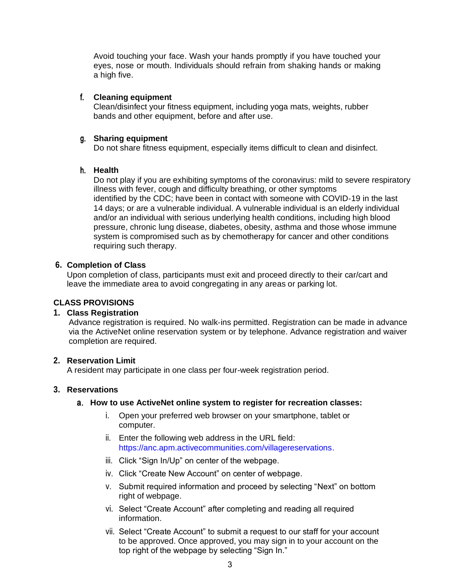Avoid touching your face. Wash your hands promptly if you have touched your eyes, nose or mouth. Individuals should refrain from shaking hands or making a high five.

### f. **Cleaning equipment**

Clean/disinfect your fitness equipment, including yoga mats, weights, rubber bands and other equipment, before and after use.

#### g. **Sharing equipment**

Do not share fitness equipment, especially items difficult to clean and disinfect.

### h. **Health**

Do not play if you are exhibiting symptoms of the coronavirus: mild to severe respiratory illness with fever, cough and difficulty breathing, or other symptoms identified by the CDC; have been in contact with someone with COVID‐19 in the last 14 days; or are a vulnerable individual. A vulnerable individual is an elderly individual and/or an individual with serious underlying health conditions, including high blood pressure, chronic lung disease, diabetes, obesity, asthma and those whose immune system is compromised such as by chemotherapy for cancer and other conditions requiring such therapy.

### **6. Completion of Class**

Upon completion of class, participants must exit and proceed directly to their car/cart and leave the immediate area to avoid congregating in any areas or parking lot.

## **CLASS PROVISIONS**

#### **1. Class Registration**

Advance registration is required. No walk-ins permitted. Registration can be made in advance via the ActiveNet online reservation system or by telephone. Advance registration and waiver completion are required.

## **2. Reservation Limit**

A resident may participate in one class per four-week registration period.

## **3. Reservations**

### a. **How to use ActiveNet online system to register for recreation classes:**

- i. Open your preferred web browser on your smartphone, tablet or computer.
- ii. Enter the following web address in the URL field[:](https://anc.apm.activecommunities.com/villagereservations) [https://anc.apm.activecommunities.com/villagereservations.](https://anc.apm.activecommunities.com/villagereservations)
- iii. Click "Sign In/Up" on center of the webpage.
- iv. Click "Create New Account" on center of webpage.
- v. Submit required information and proceed by selecting "Next" on bottom right of webpage.
- vi. Select "Create Account" after completing and reading all required information.
- vii. Select "Create Account" to submit a request to our staff for your account to be approved. Once approved, you may sign in to your account on the top right of the webpage by selecting "Sign In."